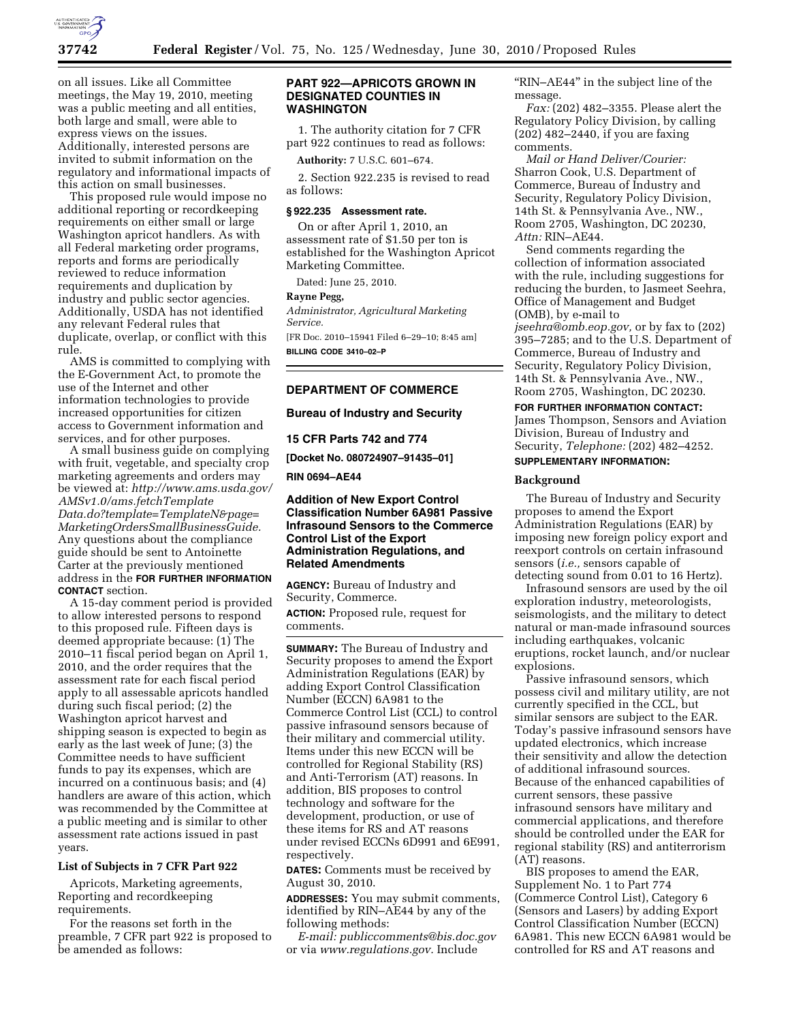

on all issues. Like all Committee meetings, the May 19, 2010, meeting was a public meeting and all entities, both large and small, were able to express views on the issues. Additionally, interested persons are invited to submit information on the regulatory and informational impacts of this action on small businesses.

This proposed rule would impose no additional reporting or recordkeeping requirements on either small or large Washington apricot handlers. As with all Federal marketing order programs, reports and forms are periodically reviewed to reduce information requirements and duplication by industry and public sector agencies. Additionally, USDA has not identified any relevant Federal rules that duplicate, overlap, or conflict with this rule.

AMS is committed to complying with the E-Government Act, to promote the use of the Internet and other information technologies to provide increased opportunities for citizen access to Government information and services, and for other purposes.

A small business guide on complying with fruit, vegetable, and specialty crop marketing agreements and orders may be viewed at: *http://www.ams.usda.gov/ AMSv1.0/ams.fetchTemplate Data.do?template=TemplateN&page= MarketingOrdersSmallBusinessGuide.*  Any questions about the compliance guide should be sent to Antoinette Carter at the previously mentioned address in the **FOR FURTHER INFORMATION CONTACT** section.

A 15-day comment period is provided to allow interested persons to respond to this proposed rule. Fifteen days is deemed appropriate because: (1) The 2010–11 fiscal period began on April 1, 2010, and the order requires that the assessment rate for each fiscal period apply to all assessable apricots handled during such fiscal period; (2) the Washington apricot harvest and shipping season is expected to begin as early as the last week of June; (3) the Committee needs to have sufficient funds to pay its expenses, which are incurred on a continuous basis; and (4) handlers are aware of this action, which was recommended by the Committee at a public meeting and is similar to other assessment rate actions issued in past years.

## **List of Subjects in 7 CFR Part 922**

Apricots, Marketing agreements, Reporting and recordkeeping requirements.

For the reasons set forth in the preamble, 7 CFR part 922 is proposed to be amended as follows:

### **PART 922—APRICOTS GROWN IN DESIGNATED COUNTIES IN WASHINGTON**

1. The authority citation for 7 CFR part 922 continues to read as follows:

**Authority:** 7 U.S.C. 601–674.

2. Section 922.235 is revised to read as follows:

## **§ 922.235 Assessment rate.**

On or after April 1, 2010, an assessment rate of \$1.50 per ton is established for the Washington Apricot Marketing Committee.

Dated: June 25, 2010.

## **Rayne Pegg,**

*Administrator, Agricultural Marketing Service.* 

[FR Doc. 2010–15941 Filed 6–29–10; 8:45 am] **BILLING CODE 3410–02–P** 

## **DEPARTMENT OF COMMERCE**

#### **Bureau of Industry and Security**

**15 CFR Parts 742 and 774** 

**[Docket No. 080724907–91435–01]** 

**RIN 0694–AE44** 

## **Addition of New Export Control Classification Number 6A981 Passive Infrasound Sensors to the Commerce Control List of the Export Administration Regulations, and Related Amendments**

**AGENCY:** Bureau of Industry and Security, Commerce. **ACTION:** Proposed rule, request for comments.

**SUMMARY:** The Bureau of Industry and Security proposes to amend the Export Administration Regulations (EAR) by adding Export Control Classification Number (ECCN) 6A981 to the Commerce Control List (CCL) to control passive infrasound sensors because of their military and commercial utility. Items under this new ECCN will be controlled for Regional Stability (RS) and Anti-Terrorism (AT) reasons. In addition, BIS proposes to control technology and software for the development, production, or use of these items for RS and AT reasons under revised ECCNs 6D991 and 6E991, respectively.

**DATES:** Comments must be received by August 30, 2010.

**ADDRESSES:** You may submit comments, identified by RIN–AE44 by any of the following methods:

*E-mail: publiccomments@bis.doc.gov*  or via *www.regulations.gov.* Include

''RIN–AE44'' in the subject line of the message.

*Fax:* (202) 482–3355. Please alert the Regulatory Policy Division, by calling (202) 482–2440, if you are faxing comments.

*Mail or Hand Deliver/Courier:*  Sharron Cook, U.S. Department of Commerce, Bureau of Industry and Security, Regulatory Policy Division, 14th St. & Pennsylvania Ave., NW., Room 2705, Washington, DC 20230, *Attn:* RIN–AE44.

Send comments regarding the collection of information associated with the rule, including suggestions for reducing the burden, to Jasmeet Seehra, Office of Management and Budget (OMB), by e-mail to *jseehra@omb.eop.gov,* or by fax to (202)

395–7285; and to the U.S. Department of Commerce, Bureau of Industry and Security, Regulatory Policy Division, 14th St. & Pennsylvania Ave., NW., Room 2705, Washington, DC 20230.

### **FOR FURTHER INFORMATION CONTACT:**

James Thompson, Sensors and Aviation Division, Bureau of Industry and Security, *Telephone:* (202) 482–4252.

# **SUPPLEMENTARY INFORMATION:**

## **Background**

The Bureau of Industry and Security proposes to amend the Export Administration Regulations (EAR) by imposing new foreign policy export and reexport controls on certain infrasound sensors (*i.e.,* sensors capable of detecting sound from 0.01 to 16 Hertz).

Infrasound sensors are used by the oil exploration industry, meteorologists, seismologists, and the military to detect natural or man-made infrasound sources including earthquakes, volcanic eruptions, rocket launch, and/or nuclear explosions.

Passive infrasound sensors, which possess civil and military utility, are not currently specified in the CCL, but similar sensors are subject to the EAR. Today's passive infrasound sensors have updated electronics, which increase their sensitivity and allow the detection of additional infrasound sources. Because of the enhanced capabilities of current sensors, these passive infrasound sensors have military and commercial applications, and therefore should be controlled under the EAR for regional stability (RS) and antiterrorism (AT) reasons.

BIS proposes to amend the EAR, Supplement No. 1 to Part 774 (Commerce Control List), Category 6 (Sensors and Lasers) by adding Export Control Classification Number (ECCN) 6A981. This new ECCN 6A981 would be controlled for RS and AT reasons and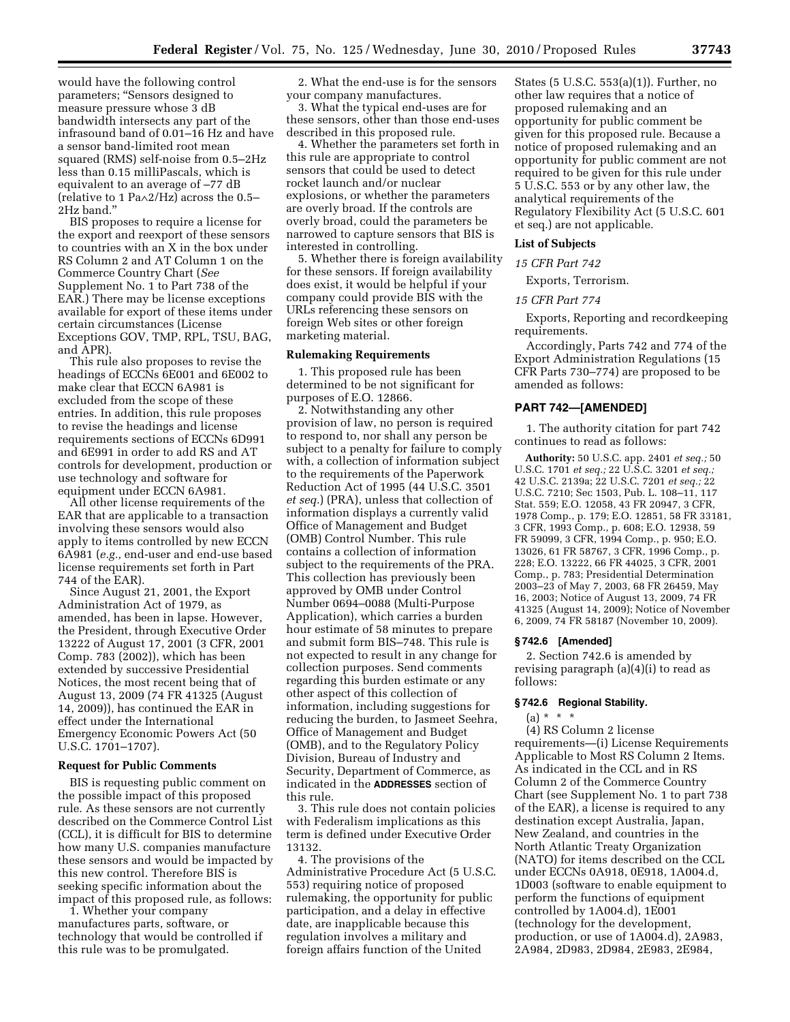would have the following control parameters; "Sensors designed to measure pressure whose 3 dB bandwidth intersects any part of the infrasound band of 0.01–16 Hz and have a sensor band-limited root mean squared (RMS) self-noise from 0.5–2Hz less than 0.15 milliPascals, which is equivalent to an average of –77 dB (relative to 1 Pa∧2/Hz) across the 0.5– 2Hz band.''

BIS proposes to require a license for the export and reexport of these sensors to countries with an X in the box under RS Column 2 and AT Column 1 on the Commerce Country Chart (*See*  Supplement No. 1 to Part 738 of the EAR.) There may be license exceptions available for export of these items under certain circumstances (License Exceptions GOV, TMP, RPL, TSU, BAG, and APR).

This rule also proposes to revise the headings of ECCNs 6E001 and 6E002 to make clear that ECCN 6A981 is excluded from the scope of these entries. In addition, this rule proposes to revise the headings and license requirements sections of ECCNs 6D991 and 6E991 in order to add RS and AT controls for development, production or use technology and software for equipment under ECCN 6A981.

All other license requirements of the EAR that are applicable to a transaction involving these sensors would also apply to items controlled by new ECCN 6A981 (*e.g.,* end-user and end-use based license requirements set forth in Part 744 of the EAR).

Since August 21, 2001, the Export Administration Act of 1979, as amended, has been in lapse. However, the President, through Executive Order 13222 of August 17, 2001 (3 CFR, 2001 Comp. 783 (2002)), which has been extended by successive Presidential Notices, the most recent being that of August 13, 2009 (74 FR 41325 (August 14, 2009)), has continued the EAR in effect under the International Emergency Economic Powers Act (50 U.S.C. 1701–1707).

#### **Request for Public Comments**

BIS is requesting public comment on the possible impact of this proposed rule. As these sensors are not currently described on the Commerce Control List (CCL), it is difficult for BIS to determine how many U.S. companies manufacture these sensors and would be impacted by this new control. Therefore BIS is seeking specific information about the impact of this proposed rule, as follows:

1. Whether your company manufactures parts, software, or technology that would be controlled if this rule was to be promulgated.

2. What the end-use is for the sensors your company manufactures.

3. What the typical end-uses are for these sensors, other than those end-uses described in this proposed rule.

4. Whether the parameters set forth in this rule are appropriate to control sensors that could be used to detect rocket launch and/or nuclear explosions, or whether the parameters are overly broad. If the controls are overly broad, could the parameters be narrowed to capture sensors that BIS is interested in controlling.

5. Whether there is foreign availability for these sensors. If foreign availability does exist, it would be helpful if your company could provide BIS with the URLs referencing these sensors on foreign Web sites or other foreign marketing material.

#### **Rulemaking Requirements**

1. This proposed rule has been determined to be not significant for purposes of E.O. 12866.

2. Notwithstanding any other provision of law, no person is required to respond to, nor shall any person be subject to a penalty for failure to comply with, a collection of information subject to the requirements of the Paperwork Reduction Act of 1995 (44 U.S.C. 3501 *et seq.*) (PRA), unless that collection of information displays a currently valid Office of Management and Budget (OMB) Control Number. This rule contains a collection of information subject to the requirements of the PRA. This collection has previously been approved by OMB under Control Number 0694–0088 (Multi-Purpose Application), which carries a burden hour estimate of 58 minutes to prepare and submit form BIS–748. This rule is not expected to result in any change for collection purposes. Send comments regarding this burden estimate or any other aspect of this collection of information, including suggestions for reducing the burden, to Jasmeet Seehra, Office of Management and Budget (OMB), and to the Regulatory Policy Division, Bureau of Industry and Security, Department of Commerce, as indicated in the **ADDRESSES** section of this rule.

3. This rule does not contain policies with Federalism implications as this term is defined under Executive Order 13132.

4. The provisions of the Administrative Procedure Act (5 U.S.C. 553) requiring notice of proposed rulemaking, the opportunity for public participation, and a delay in effective date, are inapplicable because this regulation involves a military and foreign affairs function of the United

States (5 U.S.C. 553(a)(1)). Further, no other law requires that a notice of proposed rulemaking and an opportunity for public comment be given for this proposed rule. Because a notice of proposed rulemaking and an opportunity for public comment are not required to be given for this rule under 5 U.S.C. 553 or by any other law, the analytical requirements of the Regulatory Flexibility Act (5 U.S.C. 601 et seq.) are not applicable.

#### **List of Subjects**

#### *15 CFR Part 742*

Exports, Terrorism.

### *15 CFR Part 774*

Exports, Reporting and recordkeeping requirements.

Accordingly, Parts 742 and 774 of the Export Administration Regulations (15 CFR Parts 730–774) are proposed to be amended as follows:

#### **PART 742—[AMENDED]**

1. The authority citation for part 742 continues to read as follows:

**Authority:** 50 U.S.C. app. 2401 *et seq.;* 50 U.S.C. 1701 *et seq.;* 22 U.S.C. 3201 *et seq.;*  42 U.S.C. 2139a; 22 U.S.C. 7201 *et seq.;* 22 U.S.C. 7210; Sec 1503, Pub. L. 108–11, 117 Stat. 559; E.O. 12058, 43 FR 20947, 3 CFR, 1978 Comp., p. 179; E.O. 12851, 58 FR 33181, 3 CFR, 1993 Comp., p. 608; E.O. 12938, 59 FR 59099, 3 CFR, 1994 Comp., p. 950; E.O. 13026, 61 FR 58767, 3 CFR, 1996 Comp., p. 228; E.O. 13222, 66 FR 44025, 3 CFR, 2001 Comp., p. 783; Presidential Determination 2003–23 of May 7, 2003, 68 FR 26459, May 16, 2003; Notice of August 13, 2009, 74 FR 41325 (August 14, 2009); Notice of November 6, 2009, 74 FR 58187 (November 10, 2009).

#### **§ 742.6 [Amended]**

2. Section 742.6 is amended by revising paragraph (a)(4)(i) to read as follows:

## **§ 742.6 Regional Stability.**

# $(a) * * * *$

(4) RS Column 2 license requirements—(i) License Requirements Applicable to Most RS Column 2 Items. As indicated in the CCL and in RS Column 2 of the Commerce Country Chart (see Supplement No. 1 to part 738 of the EAR), a license is required to any destination except Australia, Japan, New Zealand, and countries in the North Atlantic Treaty Organization (NATO) for items described on the CCL under ECCNs 0A918, 0E918, 1A004.d, 1D003 (software to enable equipment to perform the functions of equipment controlled by 1A004.d), 1E001 (technology for the development, production, or use of 1A004.d), 2A983, 2A984, 2D983, 2D984, 2E983, 2E984,